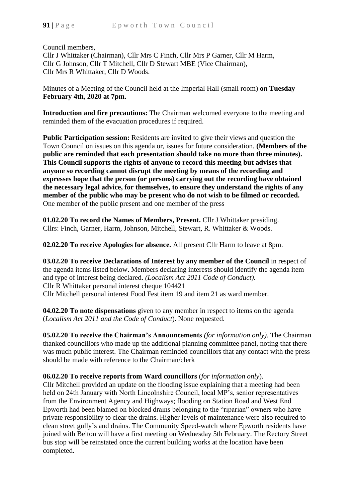Council members,

Cllr J Whittaker (Chairman), Cllr Mrs C Finch, Cllr Mrs P Garner, Cllr M Harm, Cllr G Johnson, Cllr T Mitchell, Cllr D Stewart MBE (Vice Chairman), Cllr Mrs R Whittaker, Cllr D Woods.

Minutes of a Meeting of the Council held at the Imperial Hall (small room) **on Tuesday February 4th, 2020 at 7pm.**

**Introduction and fire precautions:** The Chairman welcomed everyone to the meeting and reminded them of the evacuation procedures if required.

**Public Participation session:** Residents are invited to give their views and question the Town Council on issues on this agenda or, issues for future consideration. **(Members of the public are reminded that each presentation should take no more than three minutes). This Council supports the rights of anyone to record this meeting but advises that anyone so recording cannot disrupt the meeting by means of the recording and expresses hope that the person (or persons) carrying out the recording have obtained the necessary legal advice, for themselves, to ensure they understand the rights of any member of the public who may be present who do not wish to be filmed or recorded.** One member of the public present and one member of the press

**01.02.20 To record the Names of Members, Present.** Cllr J Whittaker presiding. Cllrs: Finch, Garner, Harm, Johnson, Mitchell, Stewart, R. Whittaker & Woods.

**02.02.20 To receive Apologies for absence.** All present Cllr Harm to leave at 8pm.

**03.02.20 To receive Declarations of Interest by any member of the Council** in respect of the agenda items listed below. Members declaring interests should identify the agenda item and type of interest being declared. *(Localism Act 2011 Code of Conduct).* Cllr R Whittaker personal interest cheque 104421 Cllr Mitchell personal interest Food Fest item 19 and item 21 as ward member.

**04.02.20 To note dispensations** given to any member in respect to items on the agenda (*Localism Act 2011 and the Code of Conduct*). None requested.

**05.02.20 To receive the Chairman's Announcements** *(for information only)*. The Chairman thanked councillors who made up the additional planning committee panel, noting that there was much public interest. The Chairman reminded councillors that any contact with the press should be made with reference to the Chairman/clerk

## **06.02.20 To receive reports from Ward councillors** (*for information only*).

Cllr Mitchell provided an update on the flooding issue explaining that a meeting had been held on 24th January with North Lincolnshire Council, local MP's, senior representatives from the Environment Agency and Highways; flooding on Station Road and West End Epworth had been blamed on blocked drains belonging to the "riparian" owners who have private responsibility to clear the drains. Higher levels of maintenance were also required to clean street gully's and drains. The Community Speed-watch where Epworth residents have joined with Belton will have a first meeting on Wednesday 5th February. The Rectory Street bus stop will be reinstated once the current building works at the location have been completed.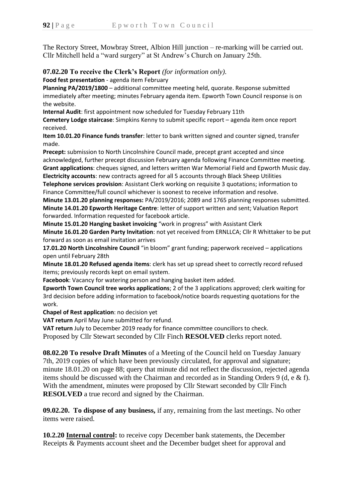The Rectory Street, Mowbray Street, Albion Hill junction – re-marking will be carried out. Cllr Mitchell held a "ward surgery" at St Andrew's Church on January 25th.

**07.02.20 To receive the Clerk's Report** *(for information only).*

**Food fest presentation** - agenda item February

**Planning PA/2019/1800** – additional committee meeting held, quorate. Response submitted immediately after meeting; minutes February agenda item. Epworth Town Council response is on the website.

**Internal Audit**: first appointment now scheduled for Tuesday February 11th

**Cemetery Lodge staircase**: Simpkins Kenny to submit specific report – agenda item once report received.

**Item 10.01.20 Finance funds transfer**: letter to bank written signed and counter signed, transfer made.

**Precept:** submission to North Lincolnshire Council made, precept grant accepted and since acknowledged, further precept discussion February agenda following Finance Committee meeting. **Grant applications**: cheques signed, and letters written War Memorial Field and Epworth Music day. **Electricity accounts**: new contracts agreed for all 5 accounts through Black Sheep Utilities

**Telephone services provision**: Assistant Clerk working on requisite 3 quotations; information to Finance Committee/full council whichever is soonest to receive information and resolve.

**Minute 13.01.20 planning responses:** PA/2019/2016; 2089 and 1765 planning responses submitted. **Minute 14.01.20 Epworth Heritage Centre**: letter of support written and sent; Valuation Report forwarded. Information requested for facebook article.

**Minute 15.01.20 Hanging basket invoicing** "work in progress" with Assistant Clerk **Minute 16.01.20 Garden Party Invitation**: not yet received from ERNLLCA; Cllr R Whittaker to be put forward as soon as email invitation arrives

**17.01.20 North Lincolnshire Council** "in bloom" grant funding; paperwork received – applications open until February 28th

**Minute 18.01.20 Refused agenda items**: clerk has set up spread sheet to correctly record refused items; previously records kept on email system.

**Facebook**: Vacancy for watering person and hanging basket item added.

**Epworth Town Council tree works applications**; 2 of the 3 applications approved; clerk waiting for 3rd decision before adding information to facebook/notice boards requesting quotations for the work.

**Chapel of Rest application**: no decision yet

**VAT return** April May June submitted for refund.

**VAT return** July to December 2019 ready for finance committee councillors to check.

Proposed by Cllr Stewart seconded by Cllr Finch **RESOLVED** clerks report noted.

**08.02.20 To resolve Draft Minutes** of a Meeting of the Council held on Tuesday January 7th, 2019 copies of which have been previously circulated, for approval and signature; minute 18.01.20 on page 88; query that minute did not reflect the discussion, rejected agenda items should be discussed with the Chairman and recorded as in Standing Orders 9 (d, e & f). With the amendment, minutes were proposed by Cllr Stewart seconded by Cllr Finch **RESOLVED** a true record and signed by the Chairman.

**09.02.20. To dispose of any business,** if any, remaining from the last meetings. No other items were raised.

**10.2.20 Internal control:** to receive copy December bank statements, the December Receipts & Payments account sheet and the December budget sheet for approval and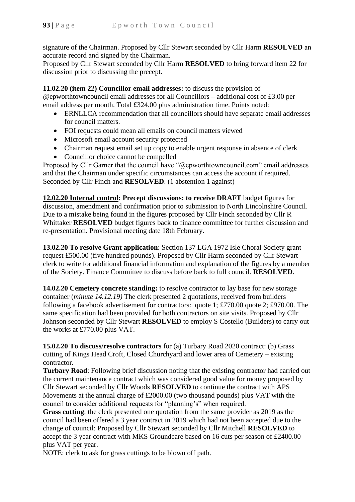signature of the Chairman. Proposed by Cllr Stewart seconded by Cllr Harm **RESOLVED** an accurate record and signed by the Chairman.

Proposed by Cllr Stewart seconded by Cllr Harm **RESOLVED** to bring forward item 22 for discussion prior to discussing the precept.

**11.02.20 (item 22) Councillor email addresses:** to discuss the provision of @epworthtowncouncil email addresses for all Councillors – additional cost of £3.00 per email address per month. Total £324.00 plus administration time. Points noted:

- ERNLLCA recommendation that all councillors should have separate email addresses for council matters.
- FOI requests could mean all emails on council matters viewed
- Microsoft email account security protected
- Chairman request email set up copy to enable urgent response in absence of clerk
- Councillor choice cannot be compelled

Proposed by Cllr Garner that the council have "@epworthtowncouncil.com" email addresses and that the Chairman under specific circumstances can access the account if required. Seconded by Cllr Finch and **RESOLVED**. (1 abstention 1 against)

**12.02.20 Internal control: Precept discussions: to receive DRAFT** budget figures for discussion, amendment and confirmation prior to submission to North Lincolnshire Council. Due to a mistake being found in the figures proposed by Cllr Finch seconded by Cllr R Whittaker **RESOLVED** budget figures back to finance committee for further discussion and re-presentation. Provisional meeting date 18th February.

**13.02.20 To resolve Grant application**: Section 137 LGA 1972 Isle Choral Society grant request £500.00 (five hundred pounds). Proposed by Cllr Harm seconded by Cllr Stewart clerk to write for additional financial information and explanation of the figures by a member of the Society. Finance Committee to discuss before back to full council. **RESOLVED**.

**14.02.20 Cemetery concrete standing:** to resolve contractor to lay base for new storage container (*minute 14.12.19)* The clerk presented 2 quotations, received from builders following a facebook advertisement for contractors: quote 1; £770.00 quote 2; £970.00. The same specification had been provided for both contractors on site visits. Proposed by Cllr Johnson seconded by Cllr Stewart **RESOLVED** to employ S Costello (Builders) to carry out the works at £770.00 plus VAT.

**15.02.20 To discuss/resolve contractors** for (a) Turbary Road 2020 contract: (b) Grass cutting of Kings Head Croft, Closed Churchyard and lower area of Cemetery – existing contractor.

**Turbary Road**: Following brief discussion noting that the existing contractor had carried out the current maintenance contract which was considered good value for money proposed by Cllr Stewart seconded by Cllr Woods **RESOLVED** to continue the contract with APS Movements at the annual charge of £2000.00 (two thousand pounds) plus VAT with the council to consider additional requests for "planning's" when required.

**Grass cutting**: the clerk presented one quotation from the same provider as 2019 as the council had been offered a 3 year contract in 2019 which had not been accepted due to the change of council: Proposed by Cllr Stewart seconded by Cllr Mitchell **RESOLVED** to accept the 3 year contract with MKS Groundcare based on 16 cuts per season of £2400.00 plus VAT per year.

NOTE: clerk to ask for grass cuttings to be blown off path.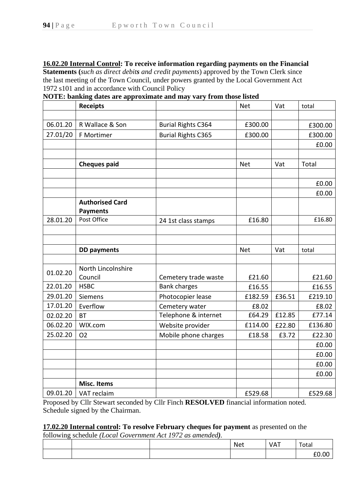**16.02.20 Internal Control: To receive information regarding payments on the Financial** 

**Statements (***such as direct debits and credit payments*) approved by the Town Clerk since the last meeting of the Town Council, under powers granted by the Local Government Act 1972 s101 and in accordance with Council Policy

**NOTE: banking dates are approximate and may vary from those listed**

|                      | <b>Receipts</b>        |                                             | <b>Net</b>      | Vat    | total           |
|----------------------|------------------------|---------------------------------------------|-----------------|--------|-----------------|
|                      |                        |                                             |                 |        |                 |
| 06.01.20             | R Wallace & Son        | <b>Burial Rights C364</b>                   | £300.00         |        | £300.00         |
| 27.01/20             | F Mortimer             | <b>Burial Rights C365</b>                   | £300.00         |        | £300.00         |
|                      |                        |                                             |                 |        | £0.00           |
|                      |                        |                                             |                 |        |                 |
|                      | <b>Cheques paid</b>    |                                             | <b>Net</b>      | Vat    | Total           |
|                      |                        |                                             |                 |        |                 |
|                      |                        |                                             |                 |        | £0.00           |
|                      |                        |                                             |                 |        | £0.00           |
|                      | <b>Authorised Card</b> |                                             |                 |        |                 |
|                      | <b>Payments</b>        |                                             |                 |        |                 |
| 28.01.20             | Post Office            | 24 1st class stamps                         | £16.80          |        | £16.80          |
|                      |                        |                                             |                 |        |                 |
|                      |                        |                                             |                 |        |                 |
|                      | <b>DD</b> payments     |                                             | <b>Net</b>      | Vat    | total           |
|                      |                        |                                             |                 |        |                 |
| 01.02.20             | North Lincolnshire     |                                             |                 |        |                 |
| 22.01.20             | Council<br><b>HSBC</b> | Cemetery trade waste<br><b>Bank charges</b> | £21.60          |        | £21.60          |
| 29.01.20             |                        |                                             | £16.55          |        | £16.55          |
|                      | <b>Siemens</b>         | Photocopier lease                           | £182.59         | £36.51 | £219.10         |
| 17.01.20             | Everflow               | Cemetery water                              | £8.02<br>£64.29 | £12.85 | £8.02<br>£77.14 |
| 02.02.20             | <b>BT</b><br>WIX.com   | Telephone & internet                        | £114.00         |        | £136.80         |
| 06.02.20<br>25.02.20 |                        | Website provider                            |                 | £22.80 |                 |
|                      | O <sub>2</sub>         | Mobile phone charges                        | £18.58          | £3.72  | £22.30          |
|                      |                        |                                             |                 |        | £0.00           |
|                      |                        |                                             |                 |        | £0.00           |
|                      |                        |                                             |                 |        | £0.00           |
|                      | <b>Misc. Items</b>     |                                             |                 |        | £0.00           |
|                      |                        |                                             |                 |        |                 |
| 09.01.20             | VAT reclaim            |                                             | £529.68         |        | £529.68         |

Proposed by Cllr Stewart seconded by Cllr Finch **RESOLVED** financial information noted. Schedule signed by the Chairman.

**17.02.20 Internal control: To resolve February cheques for payment** as presented on the following schedule *(Local Government Act 1972 as amended).*

|  | <b>Net</b> | VAT | Total |
|--|------------|-----|-------|
|  |            |     | rn nn |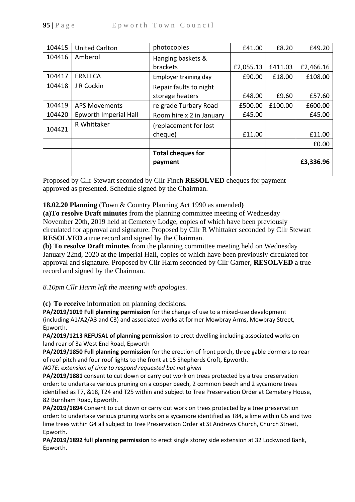| 104415 | <b>United Carlton</b> | photocopies              | £41.00    | £8.20   | £49.20    |
|--------|-----------------------|--------------------------|-----------|---------|-----------|
| 104416 | Amberol               | Hanging baskets &        |           |         |           |
|        |                       | brackets                 | £2,055.13 | £411.03 | £2,466.16 |
| 104417 | <b>ERNLLCA</b>        | Employer training day    | £90.00    | £18.00  | £108.00   |
| 104418 | J R Cockin            | Repair faults to night   |           |         |           |
|        |                       | storage heaters          | £48.00    | £9.60   | £57.60    |
| 104419 | <b>APS Movements</b>  | re grade Turbary Road    | £500.00   | £100.00 | £600.00   |
| 104420 | Epworth Imperial Hall | Room hire x 2 in January | £45.00    |         | £45.00    |
| 104421 | R Whittaker           | (replacement for lost    |           |         |           |
|        |                       | cheque)                  | £11.00    |         | £11.00    |
|        |                       |                          |           |         | £0.00     |
|        |                       | <b>Total cheques for</b> |           |         |           |
|        |                       | payment                  |           |         | £3,336.96 |
|        |                       |                          |           |         |           |

Proposed by Cllr Stewart seconded by Cllr Finch **RESOLVED** cheques for payment approved as presented. Schedule signed by the Chairman.

**18.02.20 Planning** (Town & Country Planning Act 1990 as amended**)**

**(a)To resolve Draft minutes** from the planning committee meeting of Wednesday November 20th, 2019 held at Cemetery Lodge, copies of which have been previously circulated for approval and signature. Proposed by Cllr R Whittaker seconded by Cllr Stewart **RESOLVED** a true record and signed by the Chairman.

**(b) To resolve Draft minutes** from the planning committee meeting held on Wednesday January 22nd, 2020 at the Imperial Hall, copies of which have been previously circulated for approval and signature. Proposed by Cllr Harm seconded by Cllr Garner, **RESOLVED** a true record and signed by the Chairman.

*8.10pm Cllr Harm left the meeting with apologies.*

**(c) To receive** information on planning decisions.

**PA/2019/1019 Full planning permission** for the change of use to a mixed-use development (including A1/A2/A3 and C3) and associated works at former Mowbray Arms, Mowbray Street, Epworth.

**PA/2019/1213 REFUSAL of planning permission** to erect dwelling including associated works on land rear of 3a West End Road, Epworth

**PA/2019/1850 Full planning permission** for the erection of front porch, three gable dormers to rear of roof pitch and four roof lights to the front at 15 Shepherds Croft, Epworth.

*NOTE: extension of time to respond requested but not given*

**PA/2019/1881** consent to cut down or carry out work on trees protected by a tree preservation order: to undertake various pruning on a copper beech, 2 common beech and 2 sycamore trees identified as T7, &18, T24 and T25 within and subject to Tree Preservation Order at Cemetery House, 82 Burnham Road, Epworth.

**PA/2019/1894** Consent to cut down or carry out work on trees protected by a tree preservation order: to undertake various pruning works on a sycamore identified as T84, a lime within G5 and two lime trees within G4 all subject to Tree Preservation Order at St Andrews Church, Church Street, Epworth.

**PA/2019/1892 full planning permission** to erect single storey side extension at 32 Lockwood Bank, Epworth.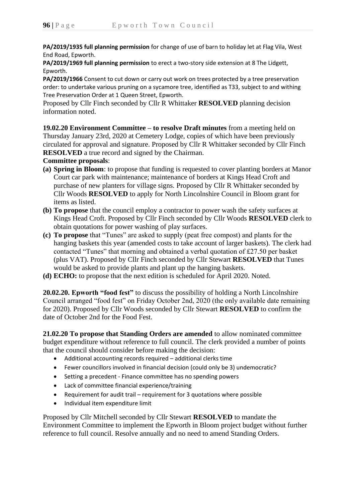**PA/2019/1935 full planning permission** for change of use of barn to holiday let at Flag Vila, West End Road, Epworth.

**PA/2019/1969 full planning permission** to erect a two-story side extension at 8 The Lidgett, Epworth.

**PA/2019/1966** Consent to cut down or carry out work on trees protected by a tree preservation order: to undertake various pruning on a sycamore tree, identified as T33, subject to and withing Tree Preservation Order at 1 Queen Street, Epworth.

Proposed by Cllr Finch seconded by Cllr R Whittaker **RESOLVED** planning decision information noted.

**19.02.20 Environment Committee – to resolve Draft minutes** from a meeting held on Thursday January 23rd, 2020 at Cemetery Lodge, copies of which have been previously circulated for approval and signature. Proposed by Cllr R Whittaker seconded by Cllr Finch **RESOLVED** a true record and signed by the Chairman.

**Committee proposals**:

- **(a) Spring in Bloom**: to propose that funding is requested to cover planting borders at Manor Court car park with maintenance; maintenance of borders at Kings Head Croft and purchase of new planters for village signs. Proposed by Cllr R Whittaker seconded by Cllr Woods **RESOLVED** to apply for North Lincolnshire Council in Bloom grant for items as listed.
- **(b) To propose** that the council employ a contractor to power wash the safety surfaces at Kings Head Croft. Proposed by Cllr Finch seconded by Cllr Woods **RESOLVED** clerk to obtain quotations for power washing of play surfaces.
- **(c) To propose** that "Tunes" are asked to supply (peat free compost) and plants for the hanging baskets this year (amended costs to take account of larger baskets). The clerk had contacted "Tunes" that morning and obtained a verbal quotation of £27.50 per basket (plus VAT). Proposed by Cllr Finch seconded by Cllr Stewart **RESOLVED** that Tunes would be asked to provide plants and plant up the hanging baskets.
- **(d) ECHO:** to propose that the next edition is scheduled for April 2020. Noted.

**20.02.20. Epworth "food fest"** to discuss the possibility of holding a North Lincolnshire Council arranged "food fest" on Friday October 2nd, 2020 (the only available date remaining for 2020). Proposed by Cllr Woods seconded by Cllr Stewart **RESOLVED** to confirm the date of October 2nd for the Food Fest.

**21.02.20 To propose that Standing Orders are amended** to allow nominated committee budget expenditure without reference to full council. The clerk provided a number of points that the council should consider before making the decision:

- Additional accounting records required additional clerks time
- Fewer councillors involved in financial decision (could only be 3) undemocratic?
- Setting a precedent Finance committee has no spending powers
- Lack of committee financial experience/training
- Requirement for audit trail requirement for 3 quotations where possible
- Individual item expenditure limit

Proposed by Cllr Mitchell seconded by Cllr Stewart **RESOLVED** to mandate the Environment Committee to implement the Epworth in Bloom project budget without further reference to full council. Resolve annually and no need to amend Standing Orders.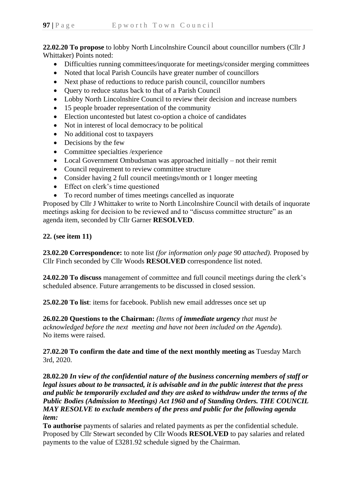**22.02.20 To propose** to lobby North Lincolnshire Council about councillor numbers (Cllr J Whittaker) Points noted:

- Difficulties running committees/inquorate for meetings/consider merging committees
- Noted that local Parish Councils have greater number of councillors
- Next phase of reductions to reduce parish council, councillor numbers
- Ouery to reduce status back to that of a Parish Council
- Lobby North Lincolnshire Council to review their decision and increase numbers
- 15 people broader representation of the community
- Election uncontested but latest co-option a choice of candidates
- Not in interest of local democracy to be political
- No additional cost to taxpayers
- Decisions by the few
- Committee specialties / experience
- Local Government Ombudsman was approached initially not their remit
- Council requirement to review committee structure
- Consider having 2 full council meetings/month or 1 longer meeting
- Effect on clerk's time questioned
- To record number of times meetings cancelled as inquorate

Proposed by Cllr J Whittaker to write to North Lincolnshire Council with details of inquorate meetings asking for decision to be reviewed and to "discuss committee structure" as an agenda item, seconded by Cllr Garner **RESOLVED**.

**22. (see item 11)**

**23.02.20 Correspondence:** to note list *(for information only page 90 attached).* Proposed by Cllr Finch seconded by Cllr Woods **RESOLVED** correspondence list noted.

**24.02.20 To discuss** management of committee and full council meetings during the clerk's scheduled absence. Future arrangements to be discussed in closed session.

**25.02.20 To list**: items for facebook. Publish new email addresses once set up

**26.02.20 Questions to the Chairman:** *(Items of immediate urgency that must be acknowledged before the next meeting and have not been included on the Agenda*)*.* No items were raised.

**27.02.20 To confirm the date and time of the next monthly meeting as** Tuesday March 3rd, 2020.

**28.02.20** *In view of the confidential nature of the business concerning members of staff or legal issues about to be transacted, it is advisable and in the public interest that the press and public be temporarily excluded and they are asked to withdraw under the terms of the Public Bodies (Admission to Meetings) Act 1960 and of Standing Orders. THE COUNCIL MAY RESOLVE to exclude members of the press and public for the following agenda item:*

**To authorise** payments of salaries and related payments as per the confidential schedule. Proposed by Cllr Stewart seconded by Cllr Woods **RESOLVED** to pay salaries and related payments to the value of £3281.92 schedule signed by the Chairman.